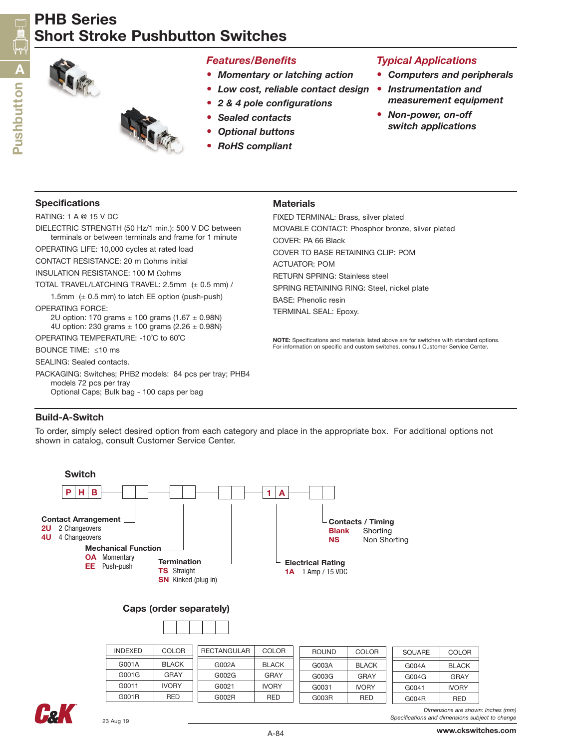# PHB Series Short Stroke Pushbutton Switches



## *Features/Benefits*

- *• Momentary or latching action*
- *• Low cost, reliable contact design*
- *• 2 & 4 pole configurations*
- *• Sealed contacts*
- *• Optional buttons*
- *• RoHS compliant*

## *Typical Applications*

- *• Computers and peripherals*
- *Instrumentation and measurement equipment*
- *Non-power, on-off switch applications*

### Specifications

RATING: 1 A @ 15 V DC

DIELECTRIC STRENGTH (50 Hz/1 min.): 500 V DC between terminals or between terminals and frame for 1 minute

OPERATING LIFE: 10,000 cycles at rated load

CONTACT RESISTANCE: 20 m Ωohms initial

INSULATION RESISTANCE: 100 M Ωohms

TOTAL TRAVEL/LATCHING TRAVEL: 2.5mm (± 0.5 mm) /

1.5mm  $(± 0.5$  mm) to latch EE option (push-push)

OPERATING FORCE:

2U option: 170 grams  $\pm$  100 grams (1.67  $\pm$  0.98N) 4U option: 230 grams ± 100 grams (2.26 ± 0.98N)

OPERATING TEMPERATURE: -10˚C to 60˚C

BOUNCE TIME: ≤10 ms

SEALING: Sealed contacts.

PACKAGING: Switches; PHB2 models: 84 pcs per tray; PHB4 models 72 pcs per tray Optional Caps; Bulk bag - 100 caps per bag

## **Materials**

FIXED TERMINAL: Brass, silver plated MOVABLE CONTACT: Phosphor bronze, silver plated COVER: PA 66 Black COVER TO BASE RETAINING CLIP: POM ACTUATOR: POM RETURN SPRING: Stainless steel SPRING RETAINING RING: Steel, nickel plate BASE: Phenolic resin TERMINAL SEAL: Epoxy.

NOTE: Specifications and materials listed above are for switches with standard options. For information on specific and custom switches, consult Customer Service Center.

### Build-A-Switch

To order, simply select desired option from each category and place in the appropriate box. For additional options not shown in catalog, consult Customer Service Center.



### Caps (order separately)

| <b>INDEXED</b> | COLOR        | RECTANGULAR | <b>COLOR</b> | <b>ROUND</b> | COLOR        | SQUARE | <b>COLOR</b> |
|----------------|--------------|-------------|--------------|--------------|--------------|--------|--------------|
| G001A          | <b>BLACK</b> | G002A       | <b>BLACK</b> | G003A        | <b>BLACK</b> | G004A  | <b>BLACK</b> |
| G001G          | GRAY         | G002G       | GRAY         | G003G        | GRAY         | G004G  | GRAY         |
| G0011          | <b>IVORY</b> | G0021       | <b>IVORY</b> | G0031        | <b>IVORY</b> | G0041  | <b>IVORY</b> |
| G001R          | RED          | G002R       | <b>RED</b>   | G003R        | <b>RED</b>   | G004R  | <b>RED</b>   |



*Dimensions are shown: Inches (mm) Specifications and dimensions subject to change*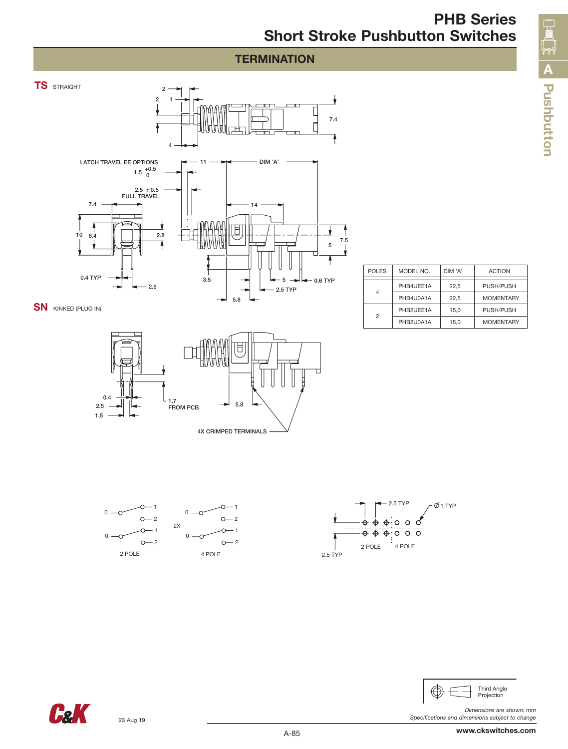## **TERMINATION**



SN KINKED (PLUG IN)



1  $O - 2$ 

1  $O - 2$ 

 $\curvearrowright$ 

| <b>POLES</b> | MODEL NO. | DIM 'A' | <b>ACTION</b>    |
|--------------|-----------|---------|------------------|
|              |           |         |                  |
|              | PHB4UEE1A | 22.5    | PUSH/PUSH        |
|              | PHB4U0A1A | 22.5    | <b>MOMENTARY</b> |
| 2            | PHB2UEE1A | 15.0    | PUSH/PUSH        |
|              | PHB2U0A1A | 15.0    | <b>MOMENTARY</b> |

**Pushbutto**

**A**

**n**





**Call** 

23 Aug 19

1  $-2$ 

 $\Omega$ 

 $0 -$ 

1  $O - 2$ 

 $\circ$ 

↷

2 POLE 4 POLE

2X

 $\Omega$ 

 $\Omega$ .

*Dimensions are shown: mm Specifications and dimensions subject to change*